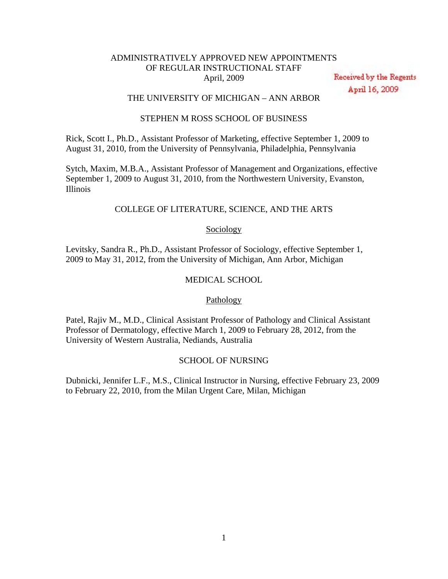# ADMINISTRATIVELY APPROVED NEW APPOINTMENTS OF REGULAR INSTRUCTIONAL STAFF April, 2009

Received by the Regents April 16, 2009

# THE UNIVERSITY OF MICHIGAN – ANN ARBOR

## STEPHEN M ROSS SCHOOL OF BUSINESS

Rick, Scott I., Ph.D., Assistant Professor of Marketing, effective September 1, 2009 to August 31, 2010, from the University of Pennsylvania, Philadelphia, Pennsylvania

Sytch, Maxim, M.B.A., Assistant Professor of Management and Organizations, effective September 1, 2009 to August 31, 2010, from the Northwestern University, Evanston, Illinois

# COLLEGE OF LITERATURE, SCIENCE, AND THE ARTS

## **Sociology**

Levitsky, Sandra R., Ph.D., Assistant Professor of Sociology, effective September 1, 2009 to May 31, 2012, from the University of Michigan, Ann Arbor, Michigan

## MEDICAL SCHOOL

# Pathology

Patel, Rajiv M., M.D., Clinical Assistant Professor of Pathology and Clinical Assistant Professor of Dermatology, effective March 1, 2009 to February 28, 2012, from the University of Western Australia, Nediands, Australia

# SCHOOL OF NURSING

Dubnicki, Jennifer L.F., M.S., Clinical Instructor in Nursing, effective February 23, 2009 to February 22, 2010, from the Milan Urgent Care, Milan, Michigan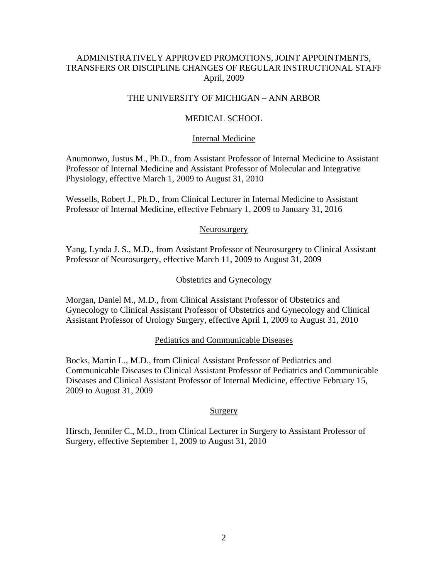# ADMINISTRATIVELY APPROVED PROMOTIONS, JOINT APPOINTMENTS, TRANSFERS OR DISCIPLINE CHANGES OF REGULAR INSTRUCTIONAL STAFF April, 2009

# THE UNIVERSITY OF MICHIGAN – ANN ARBOR

## MEDICAL SCHOOL

## Internal Medicine

Anumonwo, Justus M., Ph.D., from Assistant Professor of Internal Medicine to Assistant Professor of Internal Medicine and Assistant Professor of Molecular and Integrative Physiology, effective March 1, 2009 to August 31, 2010

Wessells, Robert J., Ph.D., from Clinical Lecturer in Internal Medicine to Assistant Professor of Internal Medicine, effective February 1, 2009 to January 31, 2016

### Neurosurgery

Yang, Lynda J. S., M.D., from Assistant Professor of Neurosurgery to Clinical Assistant Professor of Neurosurgery, effective March 11, 2009 to August 31, 2009

### Obstetrics and Gynecology

Morgan, Daniel M., M.D., from Clinical Assistant Professor of Obstetrics and Gynecology to Clinical Assistant Professor of Obstetrics and Gynecology and Clinical Assistant Professor of Urology Surgery, effective April 1, 2009 to August 31, 2010

#### Pediatrics and Communicable Diseases

Bocks, Martin L., M.D., from Clinical Assistant Professor of Pediatrics and Communicable Diseases to Clinical Assistant Professor of Pediatrics and Communicable Diseases and Clinical Assistant Professor of Internal Medicine, effective February 15, 2009 to August 31, 2009

## Surgery

Hirsch, Jennifer C., M.D., from Clinical Lecturer in Surgery to Assistant Professor of Surgery, effective September 1, 2009 to August 31, 2010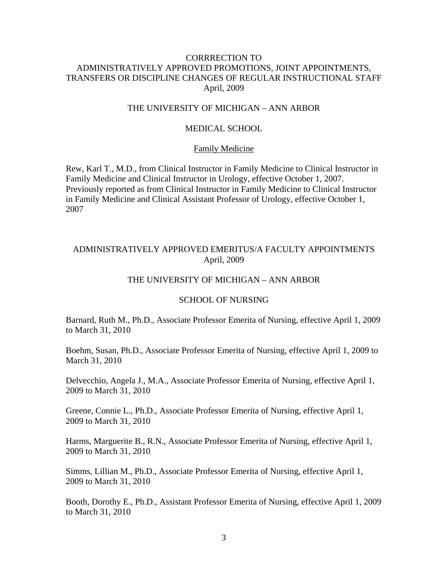# CORRRECTION TO ADMINISTRATIVELY APPROVED PROMOTIONS, JOINT APPOINTMENTS, TRANSFERS OR DISCIPLINE CHANGES OF REGULAR INSTRUCTIONAL STAFF April, 2009

# THE UNIVERSITY OF MICHIGAN – ANN ARBOR

# MEDICAL SCHOOL

### Family Medicine

Rew, Karl T., M.D., from Clinical Instructor in Family Medicine to Clinical Instructor in Family Medicine and Clinical Instructor in Urology, effective October 1, 2007. Previously reported as from Clinical Instructor in Family Medicine to Clinical Instructor in Family Medicine and Clinical Assistant Professor of Urology, effective October 1, 2007

## ADMINISTRATIVELY APPROVED EMERITUS/A FACULTY APPOINTMENTS April, 2009

# THE UNIVERSITY OF MICHIGAN – ANN ARBOR

#### SCHOOL OF NURSING

Barnard, Ruth M., Ph.D., Associate Professor Emerita of Nursing, effective April 1, 2009 to March 31, 2010

Boehm, Susan, Ph.D., Associate Professor Emerita of Nursing, effective April 1, 2009 to March 31, 2010

Delvecchio, Angela J., M.A., Associate Professor Emerita of Nursing, effective April 1, 2009 to March 31, 2010

Greene, Connie L., Ph.D., Associate Professor Emerita of Nursing, effective April 1, 2009 to March 31, 2010

Harms, Marguerite B., R.N., Associate Professor Emerita of Nursing, effective April 1, 2009 to March 31, 2010

Simms, Lillian M., Ph.D., Associate Professor Emerita of Nursing, effective April 1, 2009 to March 31, 2010

Booth, Dorothy E., Ph.D., Assistant Professor Emerita of Nursing, effective April 1, 2009 to March 31, 2010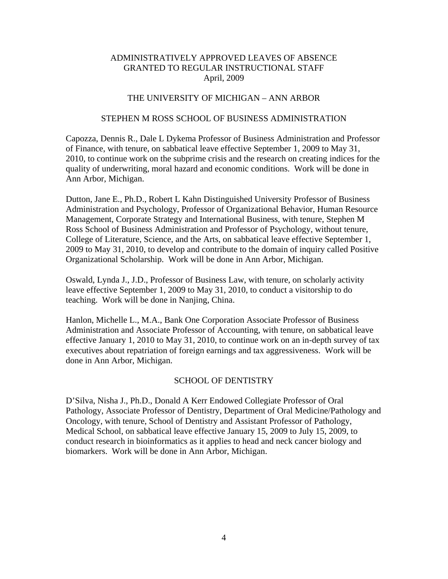# THE UNIVERSITY OF MICHIGAN – ANN ARBOR

## STEPHEN M ROSS SCHOOL OF BUSINESS ADMINISTRATION

Capozza, Dennis R., Dale L Dykema Professor of Business Administration and Professor of Finance, with tenure, on sabbatical leave effective September 1, 2009 to May 31, 2010, to continue work on the subprime crisis and the research on creating indices for the quality of underwriting, moral hazard and economic conditions. Work will be done in Ann Arbor, Michigan.

Dutton, Jane E., Ph.D., Robert L Kahn Distinguished University Professor of Business Administration and Psychology, Professor of Organizational Behavior, Human Resource Management, Corporate Strategy and International Business, with tenure, Stephen M Ross School of Business Administration and Professor of Psychology, without tenure, College of Literature, Science, and the Arts, on sabbatical leave effective September 1, 2009 to May 31, 2010, to develop and contribute to the domain of inquiry called Positive Organizational Scholarship. Work will be done in Ann Arbor, Michigan.

Oswald, Lynda J., J.D., Professor of Business Law, with tenure, on scholarly activity leave effective September 1, 2009 to May 31, 2010, to conduct a visitorship to do teaching. Work will be done in Nanjing, China.

Hanlon, Michelle L., M.A., Bank One Corporation Associate Professor of Business Administration and Associate Professor of Accounting, with tenure, on sabbatical leave effective January 1, 2010 to May 31, 2010, to continue work on an in-depth survey of tax executives about repatriation of foreign earnings and tax aggressiveness. Work will be done in Ann Arbor, Michigan.

## SCHOOL OF DENTISTRY

D'Silva, Nisha J., Ph.D., Donald A Kerr Endowed Collegiate Professor of Oral Pathology, Associate Professor of Dentistry, Department of Oral Medicine/Pathology and Oncology, with tenure, School of Dentistry and Assistant Professor of Pathology, Medical School, on sabbatical leave effective January 15, 2009 to July 15, 2009, to conduct research in bioinformatics as it applies to head and neck cancer biology and biomarkers. Work will be done in Ann Arbor, Michigan.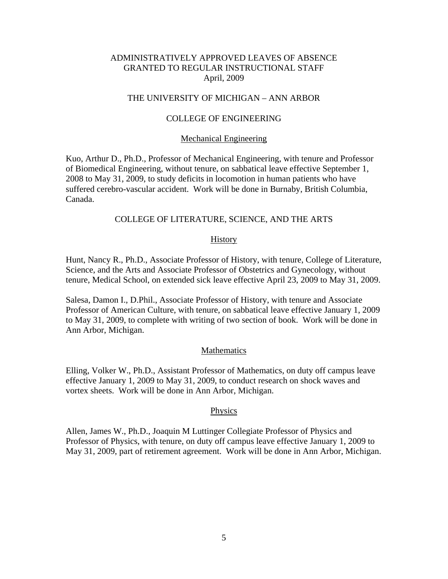## THE UNIVERSITY OF MICHIGAN – ANN ARBOR

## COLLEGE OF ENGINEERING

#### Mechanical Engineering

Kuo, Arthur D., Ph.D., Professor of Mechanical Engineering, with tenure and Professor of Biomedical Engineering, without tenure, on sabbatical leave effective September 1, 2008 to May 31, 2009, to study deficits in locomotion in human patients who have suffered cerebro-vascular accident. Work will be done in Burnaby, British Columbia, Canada.

## COLLEGE OF LITERATURE, SCIENCE, AND THE ARTS

#### History

Hunt, Nancy R., Ph.D., Associate Professor of History, with tenure, College of Literature, Science, and the Arts and Associate Professor of Obstetrics and Gynecology, without tenure, Medical School, on extended sick leave effective April 23, 2009 to May 31, 2009.

Salesa, Damon I., D.Phil., Associate Professor of History, with tenure and Associate Professor of American Culture, with tenure, on sabbatical leave effective January 1, 2009 to May 31, 2009, to complete with writing of two section of book. Work will be done in Ann Arbor, Michigan.

### Mathematics

Elling, Volker W., Ph.D., Assistant Professor of Mathematics, on duty off campus leave effective January 1, 2009 to May 31, 2009, to conduct research on shock waves and vortex sheets. Work will be done in Ann Arbor, Michigan.

#### Physics

Allen, James W., Ph.D., Joaquin M Luttinger Collegiate Professor of Physics and Professor of Physics, with tenure, on duty off campus leave effective January 1, 2009 to May 31, 2009, part of retirement agreement. Work will be done in Ann Arbor, Michigan.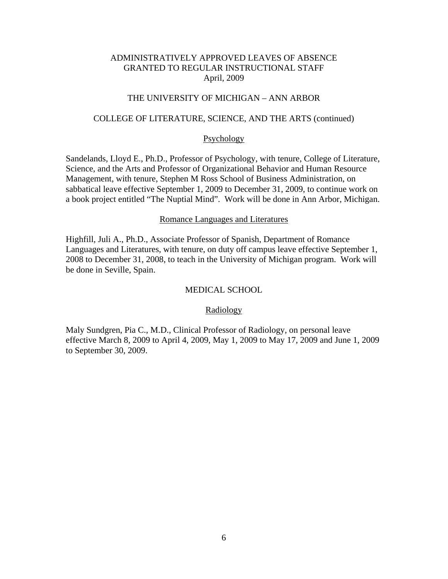# THE UNIVERSITY OF MICHIGAN – ANN ARBOR

### COLLEGE OF LITERATURE, SCIENCE, AND THE ARTS (continued)

### Psychology

Sandelands, Lloyd E., Ph.D., Professor of Psychology, with tenure, College of Literature, Science, and the Arts and Professor of Organizational Behavior and Human Resource Management, with tenure, Stephen M Ross School of Business Administration, on sabbatical leave effective September 1, 2009 to December 31, 2009, to continue work on a book project entitled "The Nuptial Mind". Work will be done in Ann Arbor, Michigan.

#### Romance Languages and Literatures

Highfill, Juli A., Ph.D., Associate Professor of Spanish, Department of Romance Languages and Literatures, with tenure, on duty off campus leave effective September 1, 2008 to December 31, 2008, to teach in the University of Michigan program. Work will be done in Seville, Spain.

## MEDICAL SCHOOL

#### Radiology

Maly Sundgren, Pia C., M.D., Clinical Professor of Radiology, on personal leave effective March 8, 2009 to April 4, 2009, May 1, 2009 to May 17, 2009 and June 1, 2009 to September 30, 2009.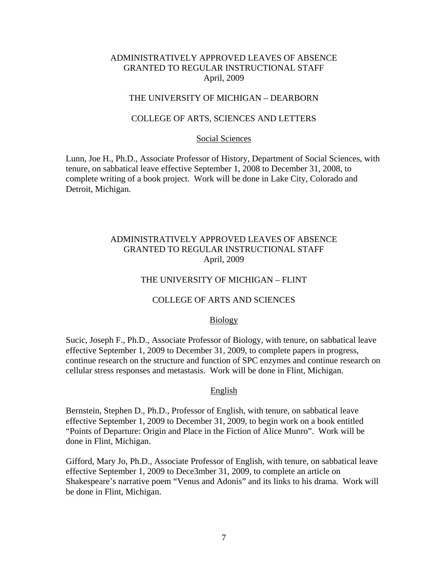## THE UNIVERSITY OF MICHIGAN – DEARBORN

### COLLEGE OF ARTS, SCIENCES AND LETTERS

#### Social Sciences

Lunn, Joe H., Ph.D., Associate Professor of History, Department of Social Sciences, with tenure, on sabbatical leave effective September 1, 2008 to December 31, 2008, to complete writing of a book project. Work will be done in Lake City, Colorado and Detroit, Michigan.

# ADMINISTRATIVELY APPROVED LEAVES OF ABSENCE GRANTED TO REGULAR INSTRUCTIONAL STAFF April, 2009

#### THE UNIVERSITY OF MICHIGAN – FLINT

#### COLLEGE OF ARTS AND SCIENCES

#### Biology

Sucic, Joseph F., Ph.D., Associate Professor of Biology, with tenure, on sabbatical leave effective September 1, 2009 to December 31, 2009, to complete papers in progress, continue research on the structure and function of SPC enzymes and continue research on cellular stress responses and metastasis. Work will be done in Flint, Michigan.

#### English

Bernstein, Stephen D., Ph.D., Professor of English, with tenure, on sabbatical leave effective September 1, 2009 to December 31, 2009, to begin work on a book entitled "Points of Departure: Origin and Place in the Fiction of Alice Munro". Work will be done in Flint, Michigan.

Gifford, Mary Jo, Ph.D., Associate Professor of English, with tenure, on sabbatical leave effective September 1, 2009 to Dece3mber 31, 2009, to complete an article on Shakespeare's narrative poem "Venus and Adonis" and its links to his drama. Work will be done in Flint, Michigan.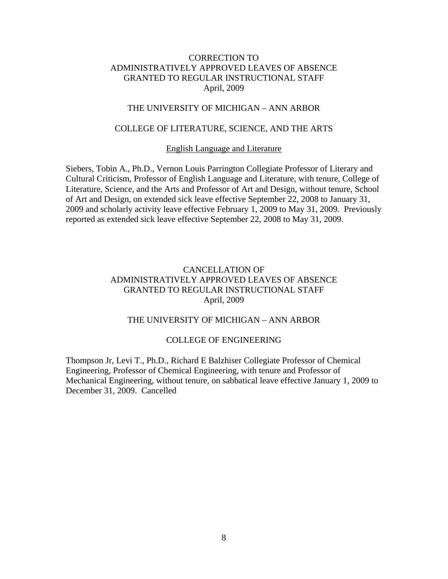# THE UNIVERSITY OF MICHIGAN – ANN ARBOR

# COLLEGE OF LITERATURE, SCIENCE, AND THE ARTS

#### English Language and Literature

Siebers, Tobin A., Ph.D., Vernon Louis Parrington Collegiate Professor of Literary and Cultural Criticism, Professor of English Language and Literature, with tenure, College of Literature, Science, and the Arts and Professor of Art and Design, without tenure, School of Art and Design, on extended sick leave effective September 22, 2008 to January 31, 2009 and scholarly activity leave effective February 1, 2009 to May 31, 2009. Previously reported as extended sick leave effective September 22, 2008 to May 31, 2009.

# CANCELLATION OF ADMINISTRATIVELY APPROVED LEAVES OF ABSENCE GRANTED TO REGULAR INSTRUCTIONAL STAFF April, 2009

## THE UNIVERSITY OF MICHIGAN – ANN ARBOR

#### COLLEGE OF ENGINEERING

Thompson Jr, Levi T., Ph.D., Richard E Balzhiser Collegiate Professor of Chemical Engineering, Professor of Chemical Engineering, with tenure and Professor of Mechanical Engineering, without tenure, on sabbatical leave effective January 1, 2009 to December 31, 2009. Cancelled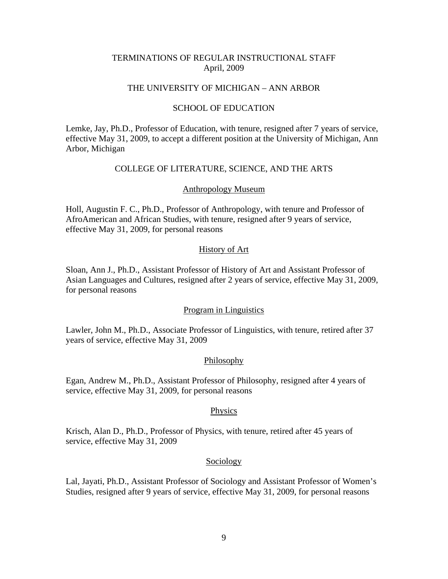## TERMINATIONS OF REGULAR INSTRUCTIONAL STAFF April, 2009

## THE UNIVERSITY OF MICHIGAN – ANN ARBOR

## SCHOOL OF EDUCATION

Lemke, Jay, Ph.D., Professor of Education, with tenure, resigned after 7 years of service, effective May 31, 2009, to accept a different position at the University of Michigan, Ann Arbor, Michigan

## COLLEGE OF LITERATURE, SCIENCE, AND THE ARTS

### Anthropology Museum

Holl, Augustin F. C., Ph.D., Professor of Anthropology, with tenure and Professor of AfroAmerican and African Studies, with tenure, resigned after 9 years of service, effective May 31, 2009, for personal reasons

## History of Art

Sloan, Ann J., Ph.D., Assistant Professor of History of Art and Assistant Professor of Asian Languages and Cultures, resigned after 2 years of service, effective May 31, 2009, for personal reasons

### Program in Linguistics

Lawler, John M., Ph.D., Associate Professor of Linguistics, with tenure, retired after 37 years of service, effective May 31, 2009

#### **Philosophy**

Egan, Andrew M., Ph.D., Assistant Professor of Philosophy, resigned after 4 years of service, effective May 31, 2009, for personal reasons

#### Physics

Krisch, Alan D., Ph.D., Professor of Physics, with tenure, retired after 45 years of service, effective May 31, 2009

#### **Sociology**

Lal, Jayati, Ph.D., Assistant Professor of Sociology and Assistant Professor of Women's Studies, resigned after 9 years of service, effective May 31, 2009, for personal reasons